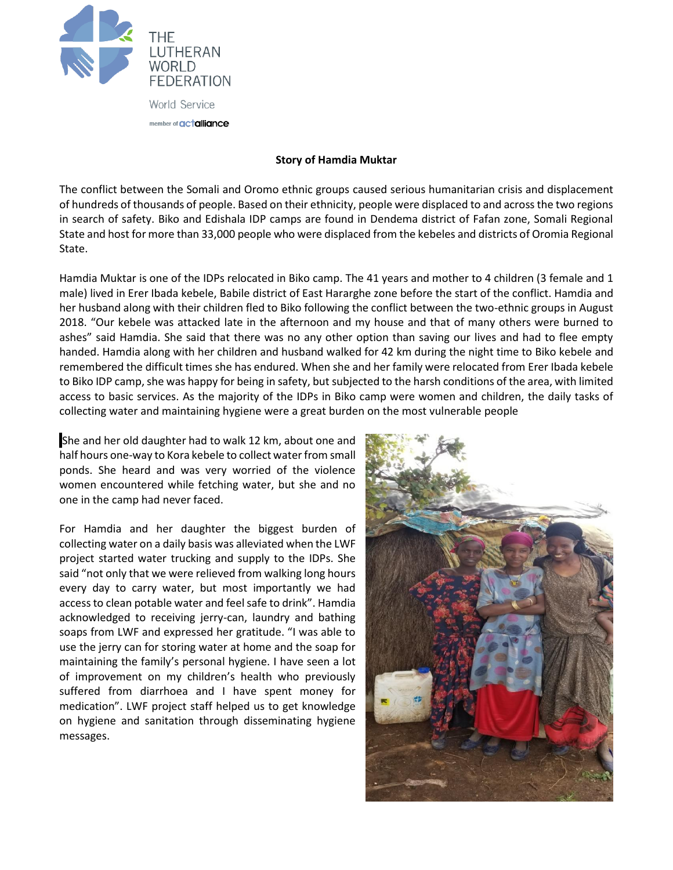

## **Story of Hamdia Muktar**

The conflict between the Somali and Oromo ethnic groups caused serious humanitarian crisis and displacement of hundreds of thousands of people. Based on their ethnicity, people were displaced to and across the two regions in search of safety. Biko and Edishala IDP camps are found in Dendema district of Fafan zone, Somali Regional State and host for more than 33,000 people who were displaced from the kebeles and districts of Oromia Regional State.

Hamdia Muktar is one of the IDPs relocated in Biko camp. The 41 years and mother to 4 children (3 female and 1 male) lived in Erer Ibada kebele, Babile district of East Hararghe zone before the start of the conflict. Hamdia and her husband along with their children fled to Biko following the conflict between the two-ethnic groups in August 2018. "Our kebele was attacked late in the afternoon and my house and that of many others were burned to ashes" said Hamdia. She said that there was no any other option than saving our lives and had to flee empty handed. Hamdia along with her children and husband walked for 42 km during the night time to Biko kebele and remembered the difficult times she has endured. When she and her family were relocated from Erer Ibada kebele to Biko IDP camp, she was happy for being in safety, but subjected to the harsh conditions of the area, with limited access to basic services. As the majority of the IDPs in Biko camp were women and children, the daily tasks of collecting water and maintaining hygiene were a great burden on the most vulnerable people

She and her old daughter had to walk 12 km, about one and half hours one-way to Kora kebele to collect water from small ponds. She heard and was very worried of the violence women encountered while fetching water, but she and no one in the camp had never faced.

For Hamdia and her daughter the biggest burden of collecting water on a daily basis was alleviated when the LWF project started water trucking and supply to the IDPs. She said "not only that we were relieved from walking long hours every day to carry water, but most importantly we had access to clean potable water and feel safe to drink". Hamdia acknowledged to receiving jerry-can, laundry and bathing soaps from LWF and expressed her gratitude. "I was able to use the jerry can for storing water at home and the soap for maintaining the family's personal hygiene. I have seen a lot of improvement on my children's health who previously suffered from diarrhoea and I have spent money for medication". LWF project staff helped us to get knowledge on hygiene and sanitation through disseminating hygiene messages.